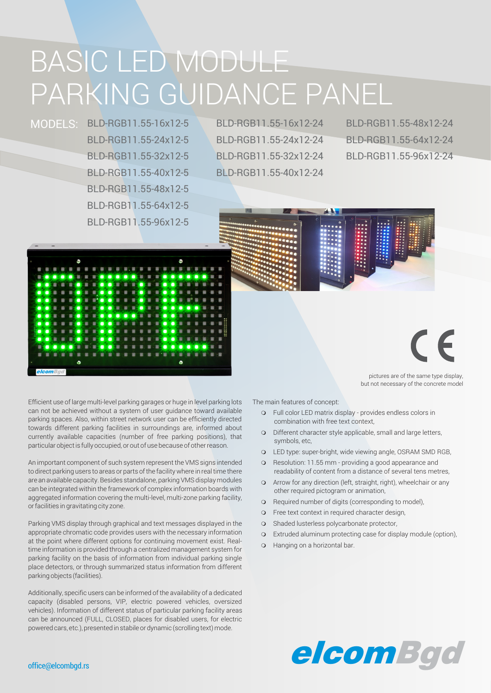# BASIC LED MODULE PARKING GUIDANCE PANEL

BLD-RGB11.55-16x12-5 MODELS: BLD-RGB11.55-16x12-24 BLD-RGB11.55-24x12-5 BLD-RGB11.55-32x12-5 BLD-RGB11.55-40x12-5 BLD-RGB11.55-48x12-5 BLD-RGB11.55-64x12-5 BLD-RGB11.55-96x12-5

BLD-RGB11.55-24x12-24 BLD-RGB11.55-32x12-24 BLD-RGB11.55-40x12-24

BLD-RGB11.55-64x12-24 BLD-RGB11.55-96x12-24 BLD-RGB11.55-48x12-24



pictures are of the same type display, but not necessary of the concrete model

Efficient use of large multi-level parking garages or huge in level parking lots can not be achieved without a system of user guidance toward available parking spaces. Also, within street network user can be efficiently directed towards different parking facilities in surroundings are, informed about currently available capacities (number of free parking positions), that particular object is fully occupied, or out of use because of other reason.

An important component of such system represent the VMS signs intended to direct parking users to areas or parts of the facility where in real time there are an available capacity. Besides standalone, parking VMS display modules can be integrated within the framework of complex information boards with aggregated information covering the multi-level, multi-zone parking facility, or facilities in gravitating city zone.

Parking VMS display through graphical and text messages displayed in the appropriate chromatic code provides users with the necessary information at the point where different options for continuing movement exist. Realtime information is provided through a centralized management system for parking facility on the basis of information from individual parking single place detectors, or through summarized status information from different parking objects (facilities).

Additionally, specific users can be informed of the availability of a dedicated capacity (disabled persons, VIP, electric powered vehicles, oversized vehicles). Information of different status of particular parking facility areas can be announced (FULL, CLOSED, places for disabled users, for electric powered cars, etc.), presented in stabile or dynamic (scrolling text) mode.

The main features of concept:

- o Full color LED matrix display provides endless colors in combination with free text context,
- o Different character style applicable, small and large letters, symbols, etc,
- o LED type: super-bright, wide viewing angle, OSRAM SMD RGB,
- o Resolution: 11.55 mm providing a good appearance and readability of content from a distance of several tens metres,
- **o** Arrow for any direction (left, straight, right), wheelchair or any other required pictogram or animation,
- **o** Required number of digits (corresponding to model),
- **o** Free text context in required character design,
- o Shaded lusterless polycarbonate protector,
- o Extruded aluminum protecting case for display module (option),
- **o** Hanging on a horizontal bar.